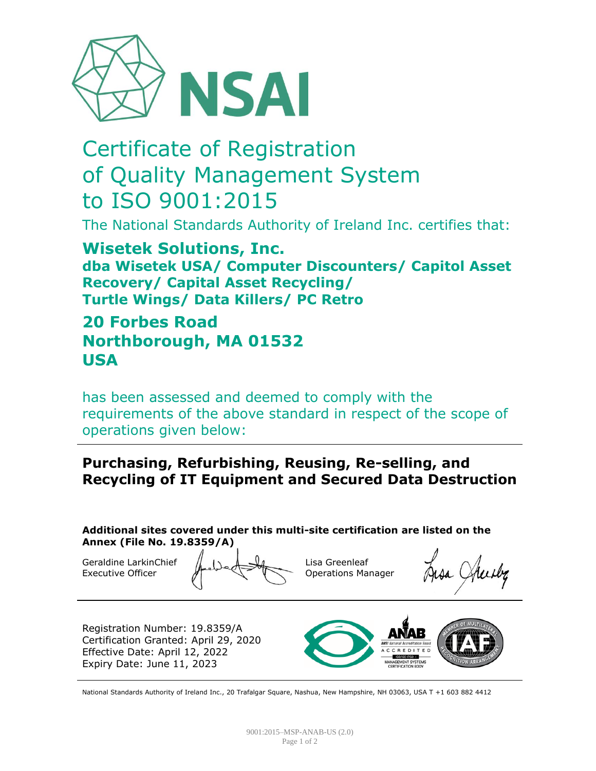

# Certificate of Registration of Quality Management System to ISO 9001:2015

The National Standards Authority of Ireland Inc. certifies that:

**Wisetek Solutions, Inc. dba Wisetek USA/ Computer Discounters/ Capitol Asset Recovery/ Capital Asset Recycling/ Turtle Wings/ Data Killers/ PC Retro**

## **20 Forbes Road Northborough, MA 01532 USA**

has been assessed and deemed to comply with the requirements of the above standard in respect of the scope of operations given below:

### **Purchasing, Refurbishing, Reusing, Re-selling, and Recycling of IT Equipment and Secured Data Destruction**

**Additional sites covered under this multi-site certification are listed on the Annex (File No. 19.8359/A)**

Geraldine LarkinChief Executive Officer

Lisa Greenleaf Operations Manager

Registration Number: 19.8359/A Certification Granted: April 29, 2020 Effective Date: April 12, 2022 Expiry Date: June 11, 2023



National Standards Authority of Ireland Inc., 20 Trafalgar Square, Nashua, New Hampshire, NH 03063, USA T +1 603 882 4412